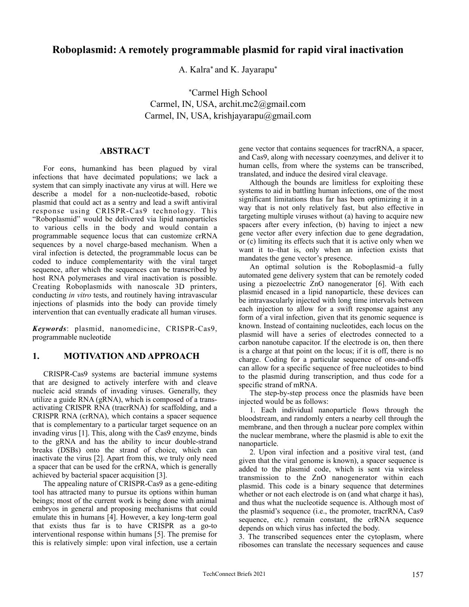# **Roboplasmid: A remotely programmable plasmid for rapid viral inactivation**

A. Kalra\* and K. Jayarapu\*

\*Carmel High School Carmel, IN, USA, archit.mc2@gmail.com Carmel, IN, USA, krishjayarapu@gmail.com

### **ABSTRACT**

For eons, humankind has been plagued by viral infections that have decimated populations; we lack a system that can simply inactivate any virus at will. Here we describe a model for a non-nucleotide-based, robotic plasmid that could act as a sentry and lead a swift antiviral response using CRISPR-Cas9 technology. This "Roboplasmid" would be delivered via lipid nanoparticles to various cells in the body and would contain a programmable sequence locus that can customize crRNA sequences by a novel charge-based mechanism. When a viral infection is detected, the programmable locus can be coded to induce complementarity with the viral target sequence, after which the sequences can be transcribed by host RNA polymerases and viral inactivation is possible. Creating Roboplasmids with nanoscale 3D printers, conducting *in vitro* tests, and routinely having intravascular injections of plasmids into the body can provide timely intervention that can eventually eradicate all human viruses.

*Keywords*: plasmid, nanomedicine, CRISPR-Cas9, programmable nucleotide

## **1. MOTIVATION AND APPROACH**

CRISPR-Cas9 systems are bacterial immune systems that are designed to actively interfere with and cleave nucleic acid strands of invading viruses. Generally, they utilize a guide RNA (gRNA), which is composed of a transactivating CRISPR RNA (tracrRNA) for scaffolding, and a CRISPR RNA (crRNA), which contains a spacer sequence that is complementary to a particular target sequence on an invading virus [1]. This, along with the Cas9 enzyme, binds to the gRNA and has the ability to incur double-strand breaks (DSBs) onto the strand of choice, which can inactivate the virus [2]. Apart from this, we truly only need a spacer that can be used for the crRNA, which is generally achieved by bacterial spacer acquisition [3].

The appealing nature of CRISPR-Cas9 as a gene-editing tool has attracted many to pursue its options within human beings; most of the current work is being done with animal embryos in general and proposing mechanisms that could emulate this in humans [4]. However, a key long-term goal that exists thus far is to have CRISPR as a go-to interventional response within humans [5]. The premise for this is relatively simple: upon viral infection, use a certain gene vector that contains sequences for tracrRNA, a spacer, and Cas9, along with necessary coenzymes, and deliver it to human cells, from where the systems can be transcribed, translated, and induce the desired viral cleavage.

Although the bounds are limitless for exploiting these systems to aid in battling human infections, one of the most significant limitations thus far has been optimizing it in a way that is not only relatively fast, but also effective in targeting multiple viruses without (a) having to acquire new spacers after every infection, (b) having to inject a new gene vector after every infection due to gene degradation, or (c) limiting its effects such that it is active only when we want it to–that is, only when an infection exists that mandates the gene vector's presence.

An optimal solution is the Roboplasmid–a fully automated gene delivery system that can be remotely coded using a piezoelectric ZnO nanogenerator [6]. With each plasmid encased in a lipid nanoparticle, these devices can be intravascularly injected with long time intervals between each injection to allow for a swift response against any form of a viral infection, given that its genomic sequence is known. Instead of containing nucleotides, each locus on the plasmid will have a series of electrodes connected to a carbon nanotube capacitor. If the electrode is on, then there is a charge at that point on the locus; if it is off, there is no charge. Coding for a particular sequence of ons-and-offs can allow for a specific sequence of free nucleotides to bind to the plasmid during transcription, and thus code for a specific strand of mRNA.

The step-by-step process once the plasmids have been injected would be as follows:

1. Each individual nanoparticle flows through the bloodstream, and randomly enters a nearby cell through the membrane, and then through a nuclear pore complex within the nuclear membrane, where the plasmid is able to exit the nanoparticle.

2. Upon viral infection and a positive viral test, (and given that the viral genome is known), a spacer sequence is added to the plasmid code, which is sent via wireless transmission to the ZnO nanogenerator within each plasmid. This code is a binary sequence that determines whether or not each electrode is on (and what charge it has). and thus what the nucleotide sequence is. Although most of the plasmid's sequence (i.e., the promoter, tracrRNA, Cas9 sequence, etc.) remain constant, the crRNA sequence depends on which virus has infected the body.

3. The transcribed sequences enter the cytoplasm, where ribosomes can translate the necessary sequences and cause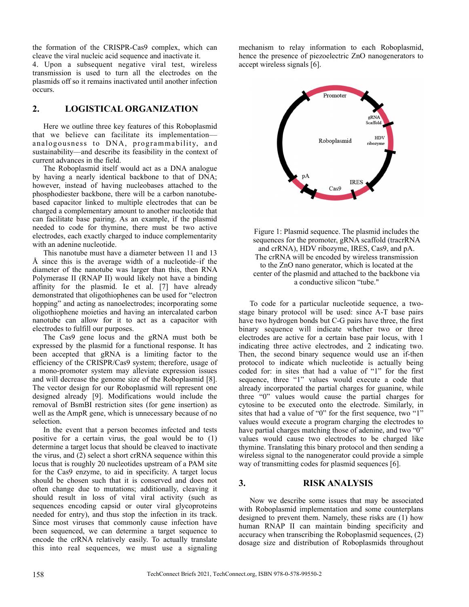the formation of the CRISPR-Cas9 complex, which can cleave the viral nucleic acid sequence and inactivate it.

4. Upon a subsequent negative viral test, wireless transmission is used to turn all the electrodes on the plasmids off so it remains inactivated until another infection occurs.

## **2. LOGISTICAL ORGANIZATION**

Here we outline three key features of this Roboplasmid that we believe can facilitate its implementation–– analogousness to DNA, programmability, and sustainability––and describe its feasibility in the context of current advances in the field.

The Roboplasmid itself would act as a DNA analogue by having a nearly identical backbone to that of DNA; however, instead of having nucleobases attached to the phosphodiester backbone, there will be a carbon nanotubebased capacitor linked to multiple electrodes that can be charged a complementary amount to another nucleotide that can facilitate base pairing. As an example, if the plasmid needed to code for thymine, there must be two active electrodes, each exactly charged to induce complementarity with an adenine nucleotide.

This nanotube must have a diameter between 11 and 13 Å since this is the average width of a nucleotide–if the diameter of the nanotube was larger than this, then RNA Polymerase II (RNAP II) would likely not have a binding affinity for the plasmid. Ie et al. [7] have already demonstrated that oligothiophenes can be used for "electron hopping" and acting as nanoelectrodes; incorporating some oligothiophene moieties and having an intercalated carbon nanotube can allow for it to act as a capacitor with electrodes to fulfill our purposes.

The Cas9 gene locus and the gRNA must both be expressed by the plasmid for a functional response. It has been accepted that gRNA is a limiting factor to the efficiency of the CRISPR/Cas9 system; therefore, usage of a mono-promoter system may alleviate expression issues and will decrease the genome size of the Roboplasmid [8]. The vector design for our Roboplasmid will represent one designed already [9]. Modifications would include the removal of BsmBI restriction sites (for gene insertion) as well as the AmpR gene, which is unnecessary because of no selection.

In the event that a person becomes infected and tests positive for a certain virus, the goal would be to (1) determine a target locus that should be cleaved to inactivate the virus, and (2) select a short crRNA sequence within this locus that is roughly 20 nucleotides upstream of a PAM site for the Cas9 enzyme, to aid in specificity. A target locus should be chosen such that it is conserved and does not often change due to mutations; additionally, cleaving it should result in loss of vital viral activity (such as sequences encoding capsid or outer viral glycoproteins needed for entry), and thus stop the infection in its track. Since most viruses that commonly cause infection have been sequenced, we can determine a target sequence to encode the crRNA relatively easily. To actually translate this into real sequences, we must use a signaling mechanism to relay information to each Roboplasmid, hence the presence of piezoelectric ZnO nanogenerators to accept wireless signals [6].



Figure 1: Plasmid sequence. The plasmid includes the sequences for the promoter, gRNA scaffold (tracrRNA and crRNA), HDV ribozyme, IRES, Cas9, and pA. The crRNA will be encoded by wireless transmission to the ZnO nano generator, which is located at the center of the plasmid and attached to the backbone via a conductive silicon "tube."

To code for a particular nucleotide sequence, a twostage binary protocol will be used: since A-T base pairs have two hydrogen bonds but C-G pairs have three, the first binary sequence will indicate whether two or three electrodes are active for a certain base pair locus, with 1 indicating three active electrodes, and 2 indicating two. Then, the second binary sequence would use an if-then protocol to indicate which nucleotide is actually being coded for: in sites that had a value of "1" for the first sequence, three "1" values would execute a code that already incorporated the partial charges for guanine, while three "0" values would cause the partial charges for cytosine to be executed onto the electrode. Similarly, in sites that had a value of "0" for the first sequence, two "1" values would execute a program charging the electrodes to have partial charges matching those of adenine, and two "0" values would cause two electrodes to be charged like thymine. Translating this binary protocol and then sending a wireless signal to the nanogenerator could provide a simple way of transmitting codes for plasmid sequences [6].

#### **3. RISK ANALYSIS**

Now we describe some issues that may be associated with Roboplasmid implementation and some counterplans designed to prevent them. Namely, these risks are (1) how human RNAP II can maintain binding specificity and accuracy when transcribing the Roboplasmid sequences, (2) dosage size and distribution of Roboplasmids throughout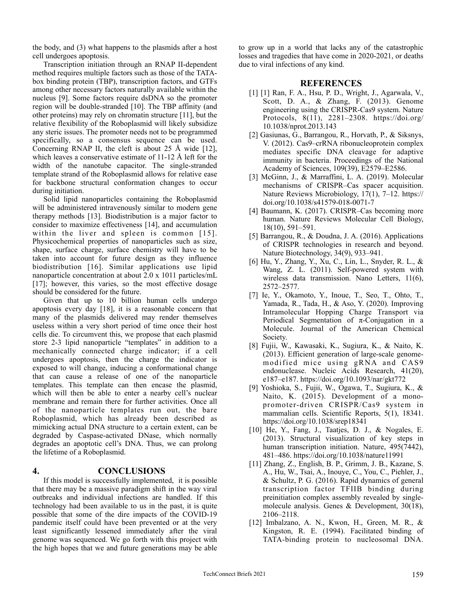the body, and (3) what happens to the plasmids after a host cell undergoes apoptosis.

Transcription initiation through an RNAP II-dependent method requires multiple factors such as those of the TATAbox binding protein (TBP), transcription factors, and GTFs among other necessary factors naturally available within the nucleus [9]. Some factors require dsDNA so the promoter region will be double-stranded [10]. The TBP affinity (and other proteins) may rely on chromatin structure [11], but the relative flexibility of the Roboplasmid will likely subsidize any steric issues. The promoter needs not to be programmed specifically, so a consensus sequence can be used. Concerning RNAP II, the cleft is about 25 Å wide [12], which leaves a conservative estimate of 11-12 Å left for the width of the nanotube capacitor. The single-stranded template strand of the Roboplasmid allows for relative ease for backbone structural conformation changes to occur during initiation.

Solid lipid nanoparticles containing the Roboplasmid will be administered intravenously similar to modern gene therapy methods [13]. Biodistribution is a major factor to consider to maximize effectiveness [14], and accumulation within the liver and spleen is common [15]. Physicochemical properties of nanoparticles such as size, shape, surface charge, surface chemistry will have to be taken into account for future design as they influence biodistribution [16]. Similar applications use lipid nanoparticle concentration at about 2.0 x 1011 particles/mL [17]; however, this varies, so the most effective dosage should be considered for the future.

Given that up to 10 billion human cells undergo apoptosis every day [18], it is a reasonable concern that many of the plasmids delivered may render themselves useless within a very short period of time once their host cells die. To circumvent this, we propose that each plasmid store 2-3 lipid nanoparticle "templates" in addition to a mechanically connected charge indicator; if a cell undergoes apoptosis, then the charge the indicator is exposed to will change, inducing a conformational change that can cause a release of one of the nanoparticle templates. This template can then encase the plasmid, which will then be able to enter a nearby cell's nuclear membrane and remain there for further activities. Once all of the nanoparticle templates run out, the bare Roboplasmid, which has already been described as mimicking actual DNA structure to a certain extent, can be degraded by Caspase-activated DNase, which normally degrades an apoptotic cell's DNA. Thus, we can prolong the lifetime of a Roboplasmid.

#### **4. CONCLUSIONS**

If this model is successfully implemented, it is possible that there may be a massive paradigm shift in the way viral outbreaks and individual infections are handled. If this technology had been available to us in the past, it is quite possible that some of the dire impacts of the COVID-19 pandemic itself could have been prevented or at the very least significantly lessened immediately after the viral genome was sequenced. We go forth with this project with the high hopes that we and future generations may be able to grow up in a world that lacks any of the catastrophic losses and tragedies that have come in 2020-2021, or deaths due to viral infections of any kind.

### **REFERENCES**

- [1] [1] Ran, F. A., Hsu, P. D., Wright, J., Agarwala, V., Scott, D. A., & Zhang, F. (2013). Genome engineering using the CRISPR-Cas9 system. Nature Protocols, 8(11), 2281–2308. https://doi.org/ 10.1038/nprot.2013.143
- [2] Gasiunas, G., Barrangou, R., Horvath, P., & Siksnys, V. (2012). Cas9–crRNA ribonucleoprotein complex mediates specific DNA cleavage for adaptive immunity in bacteria. Proceedings of the National Academy of Sciences, 109(39), E2579–E2586.
- [3] McGinn, J., & Marraffini, L. A. (2019). Molecular mechanisms of CRISPR–Cas spacer acquisition. Nature Reviews Microbiology, 17(1), 7–12. https:// doi.org/10.1038/s41579-018-0071-7
- [4] Baumann, K. (2017). CRISPR–Cas becoming more human. Nature Reviews Molecular Cell Biology, 18(10), 591–591.
- [5] Barrangou, R., & Doudna, J. A. (2016). Applications of CRISPR technologies in research and beyond. Nature Biotechnology, 34(9), 933–941.
- [6] Hu, Y., Zhang, Y., Xu, C., Lin, L., Snyder, R. L., & Wang, Z. L. (2011). Self-powered system with wireless data transmission. Nano Letters, 11(6), 2572–2577.
- [7] Ie, Y., Okamoto, Y., Inoue, T., Seo, T., Ohto, T., Yamada, R., Tada, H., & Aso, Y. (2020). Improving Intramolecular Hopping Charge Transport via Periodical Segmentation of  $\pi$ -Conjugation in a Molecule. Journal of the American Chemical Society.
- [8] Fujii, W., Kawasaki, K., Sugiura, K., & Naito, K. (2013). Efficient generation of large-scale genomemodified mice using gRNA and CAS9 endonuclease. Nucleic Acids Research, 41(20), e187–e187. https://doi.org/10.1093/nar/gkt772
- [9] Yoshioka, S., Fujii, W., Ogawa, T., Sugiura, K., & Naito, K. (2015). Development of a monopromoter-driven CRISPR/Cas9 system in mammalian cells. Scientific Reports, 5(1), 18341. https://doi.org/10.1038/srep18341
- [10] He, Y., Fang, J., Taatjes, D. J., & Nogales, E. (2013). Structural visualization of key steps in human transcription initiation. Nature, 495(7442), 481–486. https://doi.org/10.1038/nature11991
- [11] Zhang, Z., English, B. P., Grimm, J. B., Kazane, S. A., Hu, W., Tsai, A., Inouye, C., You, C., Piehler, J., & Schultz, P. G. (2016). Rapid dynamics of general transcription factor TFIIB binding during preinitiation complex assembly revealed by singlemolecule analysis. Genes & Development, 30(18), 2106–2118.
- [12] Imbalzano, A. N., Kwon, H., Green, M. R., & Kingston, R. E. (1994). Facilitated binding of TATA-binding protein to nucleosomal DNA.